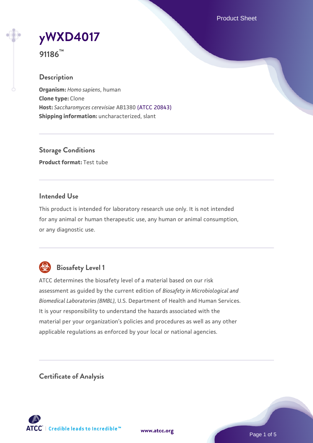Product Sheet



**91186™**

# **Description**

**Organism:** *Homo sapiens*, human **Clone type:** Clone **Host:** *Saccharomyces cerevisiae* AB1380 [\(ATCC 20843\)](https://www.atcc.org/products/20843) **Shipping information:** uncharacterized, slant

**Storage Conditions Product format:** Test tube

#### **Intended Use**

This product is intended for laboratory research use only. It is not intended for any animal or human therapeutic use, any human or animal consumption, or any diagnostic use.



# **Biosafety Level 1**

ATCC determines the biosafety level of a material based on our risk assessment as guided by the current edition of *Biosafety in Microbiological and Biomedical Laboratories (BMBL)*, U.S. Department of Health and Human Services. It is your responsibility to understand the hazards associated with the material per your organization's policies and procedures as well as any other applicable regulations as enforced by your local or national agencies.

**Certificate of Analysis**

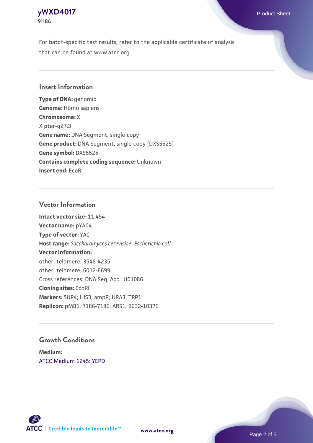#### **[yWXD4017](https://www.atcc.org/products/91186)** Product Sheet **91186**

For batch-specific test results, refer to the applicable certificate of analysis that can be found at www.atcc.org.

### **Insert Information**

**Type of DNA:** genomic **Genome:** Homo sapiens **Chromosome:** X X pter-q27.3 **Gene name:** DNA Segment, single copy **Gene product:** DNA Segment, single copy [DXS5525] **Gene symbol:** DXS5525 **Contains complete coding sequence:** Unknown **Insert end:** EcoRI

#### **Vector Information**

**Intact vector size:** 11.454 **Vector name:** pYAC4 **Type of vector:** YAC **Host range:** *Saccharomyces cerevisiae*; *Escherichia coli* **Vector information:** other: telomere, 3548-4235 other: telomere, 6012-6699 Cross references: DNA Seq. Acc.: U01086 **Cloning sites:** EcoRI **Markers:** SUP4; HIS3; ampR; URA3; TRP1 **Replicon:** pMB1, 7186-7186; ARS1, 9632-10376

#### **Growth Conditions**

**Medium:**  [ATCC Medium 1245: YEPD](https://www.atcc.org/-/media/product-assets/documents/microbial-media-formulations/1/2/4/5/atcc-medium-1245.pdf?rev=705ca55d1b6f490a808a965d5c072196)



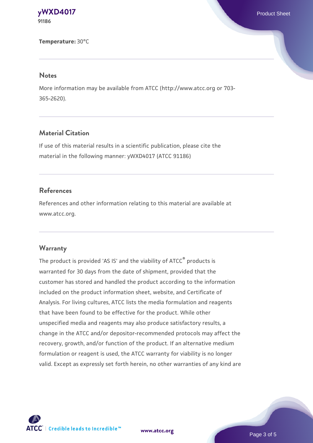**[yWXD4017](https://www.atcc.org/products/91186)** Product Sheet **91186**

**Temperature:** 30°C

#### **Notes**

More information may be available from ATCC (http://www.atcc.org or 703- 365-2620).

# **Material Citation**

If use of this material results in a scientific publication, please cite the material in the following manner: yWXD4017 (ATCC 91186)

#### **References**

References and other information relating to this material are available at www.atcc.org.

#### **Warranty**

The product is provided 'AS IS' and the viability of ATCC® products is warranted for 30 days from the date of shipment, provided that the customer has stored and handled the product according to the information included on the product information sheet, website, and Certificate of Analysis. For living cultures, ATCC lists the media formulation and reagents that have been found to be effective for the product. While other unspecified media and reagents may also produce satisfactory results, a change in the ATCC and/or depositor-recommended protocols may affect the recovery, growth, and/or function of the product. If an alternative medium formulation or reagent is used, the ATCC warranty for viability is no longer valid. Except as expressly set forth herein, no other warranties of any kind are

**[www.atcc.org](http://www.atcc.org)**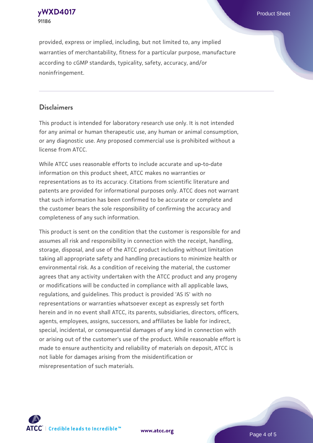**[yWXD4017](https://www.atcc.org/products/91186)** Product Sheet **91186**

provided, express or implied, including, but not limited to, any implied warranties of merchantability, fitness for a particular purpose, manufacture according to cGMP standards, typicality, safety, accuracy, and/or noninfringement.

#### **Disclaimers**

This product is intended for laboratory research use only. It is not intended for any animal or human therapeutic use, any human or animal consumption, or any diagnostic use. Any proposed commercial use is prohibited without a license from ATCC.

While ATCC uses reasonable efforts to include accurate and up-to-date information on this product sheet, ATCC makes no warranties or representations as to its accuracy. Citations from scientific literature and patents are provided for informational purposes only. ATCC does not warrant that such information has been confirmed to be accurate or complete and the customer bears the sole responsibility of confirming the accuracy and completeness of any such information.

This product is sent on the condition that the customer is responsible for and assumes all risk and responsibility in connection with the receipt, handling, storage, disposal, and use of the ATCC product including without limitation taking all appropriate safety and handling precautions to minimize health or environmental risk. As a condition of receiving the material, the customer agrees that any activity undertaken with the ATCC product and any progeny or modifications will be conducted in compliance with all applicable laws, regulations, and guidelines. This product is provided 'AS IS' with no representations or warranties whatsoever except as expressly set forth herein and in no event shall ATCC, its parents, subsidiaries, directors, officers, agents, employees, assigns, successors, and affiliates be liable for indirect, special, incidental, or consequential damages of any kind in connection with or arising out of the customer's use of the product. While reasonable effort is made to ensure authenticity and reliability of materials on deposit, ATCC is not liable for damages arising from the misidentification or misrepresentation of such materials.



**[www.atcc.org](http://www.atcc.org)**

Page 4 of 5